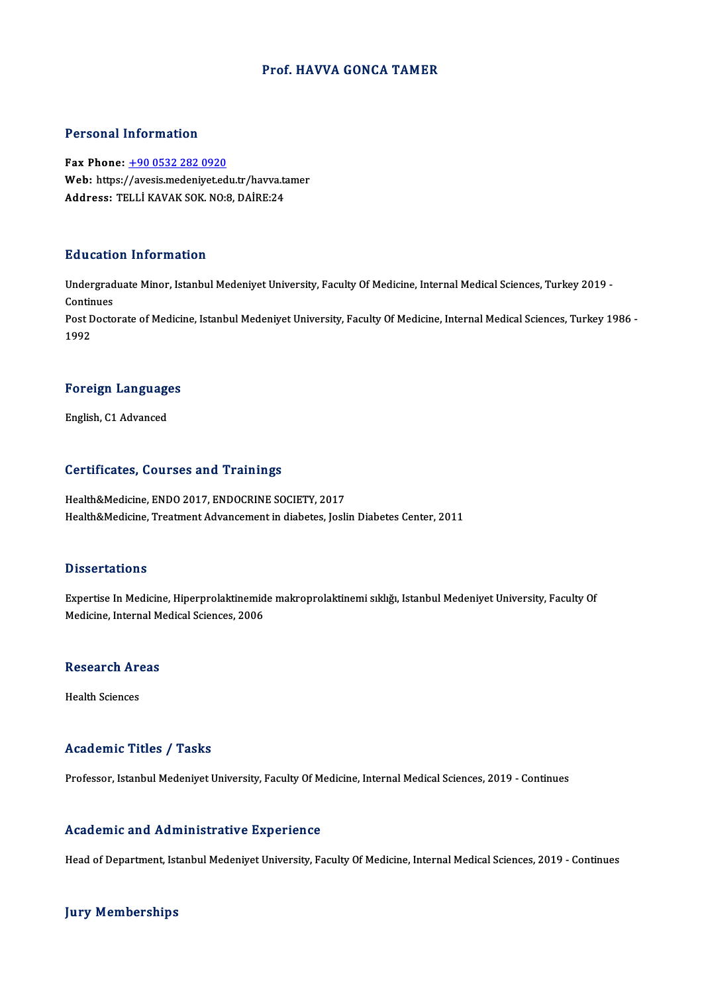### Prof.HAVVA GONCA TAMER

### Personal Information

Fax Phone: +90 0532 282 0920 Fax Phone: <u>+90 0532 282 0920</u><br>Fax Phone: <u>+90 0532 282 0920</u><br>Web: https:/[/avesis.medeniyet.ed](tel:+90 0532 282 0920)u.tr/havva.tamer<br>Address: TELLI KAVAK SOK NO.9, DAIPE.24 Fax Phone: <u>+90 0532 282 0920</u><br>Web: https://avesis.medeniyet.edu.tr/havva.ta<br>Address: TELLİ KAVAK SOK. NO:8, DAİRE:24 Address: TELLİ KAVAK SOK. NO:8, DAİRE:24<br>Education Information

**Education Information**<br>Undergraduate Minor, Istanbul Medeniyet University, Faculty Of Medicine, Internal Medical Sciences, Turkey 2019 -<br>Continues Undergrad<br>Continues<br>Post Doste Undergraduate Minor, Istanbul Medeniyet University, Faculty Of Medicine, Internal Medical Sciences, Turkey 2019 -<br>Continues<br>Post Doctorate of Medicine, Istanbul Medeniyet University, Faculty Of Medicine, Internal Medical S Contir<br>Post L<br>1992

1<sup>992</sup><br>Foreign Languages F<mark>oreign Languag</mark>e<br>English, C1 Advanced

# English, C1 Advanced<br>Certificates, Courses and Trainings

Health&Medicine, ENDO 2017, ENDOCRINE SOCIETY, 2017 Health&Medicine, Treatment Advancement in diabetes, Joslin Diabetes Center, 2011

#### **Dissertations**

Dissertations<br>Expertise In Medicine, Hiperprolaktinemide makroprolaktinemi sıklığı, Istanbul Medeniyet University, Faculty Of<br>Medisine, Internal Medical Sciances, 2006 Bassea tacroms<br>Expertise In Medicine, Hiperprolaktinemid<br>Medicine, Internal Medical Sciences, 2006

### Medicine, internal M<br>Research Areas R<mark>esearch Ar</mark><br>Health Sciences

# Academic Titles / Tasks

Professor, Istanbul Medeniyet University, Faculty Of Medicine, Internal Medical Sciences, 2019 - Continues

### Academic and Administrative Experience

Head of Department, Istanbul Medeniyet University, Faculty Of Medicine, Internal Medical Sciences, 2019 - Continues

### **Jury Memberships**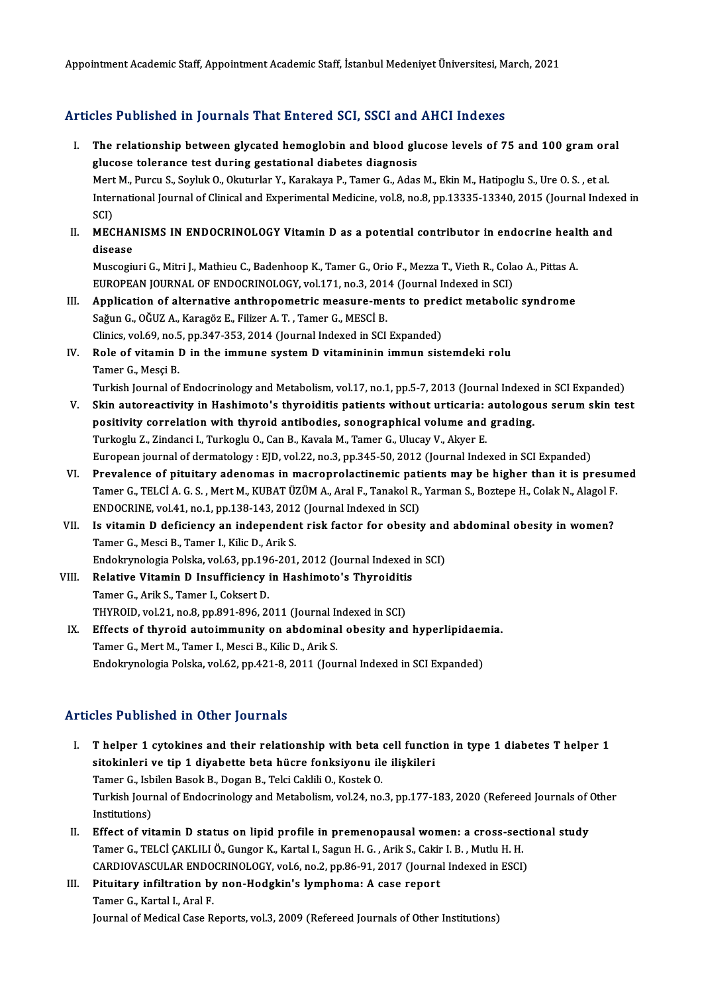Appointment Academic Staff, Appointment Academic Staff, İstanbul Medeniyet Üniversitesi, March, 2021

### Articles Published in Journals That Entered SCI, SSCI and AHCI Indexes

- rticles Published in Journals That Entered SCI, SSCI and AHCI Indexes<br>I. The relationship between glycated hemoglobin and blood glucose levels of 75 and 100 gram oral<br>Susses televance test during gestational diabetes diagn glucose tolerance test during gestational diabetes diagnosis The relationship between glycated hemoglobin and blood glucose levels of 75 and 100 gram ora<br>glucose tolerance test during gestational diabetes diagnosis<br>Mert M., Purcu S., Soyluk O., Okuturlar Y., Karakaya P., Tamer G., A International Journal of Clinical and Experimental Medicine, vol.8, no.8, pp.13335-13340, 2015 (Journal Indexed in SCI) Mert M., Purcu S., Soyluk O., Okuturlar Y., Karakaya P., Tamer G., Adas M., Ekin M., Hatipoglu S., Ure O. S., et al. International Journal of Clinical and Experimental Medicine, vol.8, no.8, pp.13335-13340, 2015 (Journal Index<br>SCI)<br>II. MECHANISMS IN ENDOCRINOLOGY Vitamin D as a potential contributor in endocrine health and<br>disease
- SCI)<br>MECHAN<br>disease<br>Museorii MECHANISMS IN ENDOCRINOLOGY Vitamin D as a potential contributor in endocrine heal<sup>.</sup><br>disease<br>Muscogiuri G., Mitri J., Mathieu C., Badenhoop K., Tamer G., Orio F., Mezza T., Vieth R., Colao A., Pittas A.<br>FUROPEAN JOURNAL O

disease<br>Muscogiuri G., Mitri J., Mathieu C., Badenhoop K., Tamer G., Orio F., Mezza T., Vieth R., Cola<br>EUROPEAN JOURNAL OF ENDOCRINOLOGY, vol.171, no.3, 2014 (Journal Indexed in SCI)<br>Annligation of alternative anthronometr Muscogiuri G., Mitri J., Mathieu C., Badenhoop K., Tamer G., Orio F., Mezza T., Vieth R., Colao A., Pittas A.<br>EUROPEAN JOURNAL OF ENDOCRINOLOGY, vol.171, no.3, 2014 (Journal Indexed in SCI)<br>III. Application of alternative

- EUROPEAN JOURNAL OF ENDOCRINOLOGY, vol.171, no.3, 2014<br>Application of alternative anthropometric measure-me<br>Sağun G., OĞUZ A., Karagöz E., Filizer A. T. , Tamer G., MESCİ B.<br>Clinics vol.60, no.5, np.347, 353, 2014 (Journal Application of alternative anthropometric measure-ments to pred<br>Sağun G., OĞUZ A., Karagöz E., Filizer A. T. , Tamer G., MESCİ B.<br>Clinics, vol.69, no.5, pp.347-353, 2014 (Journal Indexed in SCI Expanded)<br>Role of vitamin B. Sağun G., OĞUZ A., Karagöz E., Filizer A. T. , Tamer G., MESCİ B.<br>Clinics, vol.69, no.5, pp.347-353, 2014 (Journal Indexed in SCI Expanded)<br>IV. Role of vitamin D in the immune system D vitamininin immun sistemdeki rolu<br>Tam
- Clinics, vol.69, no.5<br>Role of vitamin I<br>Tamer G., Mesçi B.<br>Turkish Journal of Tamer G., Mesçi B.<br>Turkish Journal of Endocrinology and Metabolism, vol.17, no.1, pp.5-7, 2013 (Journal Indexed in SCI Expanded)

- Tamer G., Mesçi B.<br>Turkish Journal of Endocrinology and Metabolism, vol.17, no.1, pp.5-7, 2013 (Journal Indexed in SCI Expanded)<br>V. Skin autoreactivity in Hashimoto's thyroiditis patients without urticaria: autologous seru Turkish Journal of Endocrinology and Metabolism, vol.17, no.1, pp.5-7, 2013 (Journal Indexed<br>Skin autoreactivity in Hashimoto's thyroiditis patients without urticaria: autologo<br>positivity correlation with thyroid antibodie Skin autoreactivity in Hashimoto's thyroiditis patients without urticaria:<br>positivity correlation with thyroid antibodies, sonographical volume and<br>Turkoglu Z., Zindanci I., Turkoglu O., Can B., Kavala M., Tamer G., Ulucay positivity correlation with thyroid antibodies, sonographical volume and grading.<br>Turkoglu Z., Zindanci I., Turkoglu O., Can B., Kavala M., Tamer G., Ulucay V., Akyer E.<br>European journal of dermatology : EJD, vol.22, no.3,
- VI. Prevalence of pituitary adenomas inmacroprolactinemic patientsmay be higher than it is presumed European journal of dermatology : EJD, vol.22, no.3, pp.345-50, 2012 (Journal Indexed in SCI Expanded)<br>Prevalence of pituitary adenomas in macroprolactinemic patients may be higher than it is presun<br>Tamer G., TELCİ A. G. S Prevalence of pituitary adenomas in macroprolactinemic pati<br>Tamer G., TELCİ A. G. S. , Mert M., KUBAT ÜZÜM A., Aral F., Tanakol R.,<br>ENDOCRINE, vol.41, no.1, pp.138-143, 2012 (Journal Indexed in SCI)<br>Is vitamin D. defisions Tamer G., TELCİ A. G. S. , Mert M., KUBAT ÜZÜM A., Aral F., Tanakol R., Yarman S., Boztepe H., Colak N., Alagol F.<br>ENDOCRINE, vol.41, no.1, pp.138-143, 2012 (Journal Indexed in SCI)<br>VII. Is vitamin D deficiency an independ
- ENDOCRINE, vol.41, no.1, pp.138-143, 2012 (Journal Indexed in SCI)<br>VII. Is vitamin D deficiency an independent risk factor for obesity and abdominal obesity in women?<br>Tamer G., Mesci B., Tamer I., Kilic D., Arik S. Is vitamin D deficiency an independent risk factor for obesity and<br>Tamer G., Mesci B., Tamer I., Kilic D., Arik S.<br>Endokrynologia Polska, vol.63, pp.196-201, 2012 (Journal Indexed in SCI)<br>Polative Vitamin D Insufficiancy i
- Tamer G., Mesci B., Tamer I., Kilic D., Arik S.<br>Endokrynologia Polska, vol.63, pp.196-201, 2012 (Journal Indexed in<br>VIII. Relative Vitamin D Insufficiency in Hashimoto's Thyroiditis<br>Tamer C. Arik S. Tamer J. Cokeett D. Endokrynologia Polska, vol.63, pp.196<br>Relative Vitamin D Insufficiency<br>Tamer G., Arik S., Tamer I., Coksert D.<br>THYPOID Vol.21, no 8, np.901, 906, 26 Relative Vitamin D Insufficiency in Hashimoto's Thyroiditi:<br>Tamer G., Arik S., Tamer I., Coksert D.<br>THYROID, vol.21, no.8, pp.891-896, 2011 (Journal Indexed in SCI)<br>Effects of thunoid autoimmunity on abdominal abosity and Tamer G., Arik S., Tamer I., Coksert D.<br>THYROID, vol.21, no.8, pp.891-896, 2011 (Journal Indexed in SCI)<br>IX. Effects of thyroid autoimmunity on abdominal obesity and hyperlipidaemia.
- Tamer G., Mert M., Tamer I., Mesci B., Kilic D., Arik S. Endokrynologia Polska, vol.62, pp.421-8, 2011 (Journal Indexed in SCI Expanded)

### Articles Published in Other Journals

- Iticles Published in Other Journals<br>I. Thelper 1 cytokines and their relationship with beta cell function in type 1 diabetes Thelper 1<br>sitekinleri ve tin 1 divebette bete büere fenksiveny ile iliskileri sitokinleri ve tip 1 diyabette beta hücre fonksiyonu ile ilişkileri<br>sitokinleri ve tip 1 diyabette beta hücre fonksiyonu ile ilişkileri<br>Tamar Gulabilan Basak Bulban Bulbali Galdili Qulastlar Thelper 1 cytokines and their relationship with beta<br>sitokinleri ve tip 1 diyabette beta hücre fonksiyonu ile<br>Tamer G., Isbilen Basok B., Dogan B., Telci Caklili O., Kostek O.<br>Turkish Journal of Endoerinalogy and Matabelia sitokinleri ve tip 1 diyabette beta hücre fonksiyonu ile ilişkileri<br>Tamer G., Isbilen Basok B., Dogan B., Telci Caklili O., Kostek O.<br>Turkish Journal of Endocrinology and Metabolism, vol.24, no.3, pp.177-183, 2020 (Referee Tamer G., Isb<br>Turkish Jouri<br>Institutions)<br>Effect of vit Turkish Journal of Endocrinology and Metabolism, vol.24, no.3, pp.177-183, 2020 (Refereed Journals of Unstitutions)<br>II. Effect of vitamin D status on lipid profile in premenopausal women: a cross-sectional study<br>Temer G TE
- Institutions)<br>Effect of vitamin D status on lipid profile in premenopausal women: a cross-sec<br>Tamer G., TELCİ ÇAKLILI Ö., Gungor K., Kartal I., Sagun H. G. , Arik S., Cakir I. B. , Mutlu H. H.<br>CARDIQVASCULAR ENDOCRINOLOCY, Effect of vitamin D status on lipid profile in premenopausal women: a cross-secti<br>Tamer G., TELCİ ÇAKLILI Ö., Gungor K., Kartal I., Sagun H. G. , Arik S., Cakir I. B. , Mutlu H. H.<br>CARDIOVASCULAR ENDOCRINOLOGY, vol.6, no.2 Tamer G., TELCİ ÇAKLILI Ö., Gungor K., Kartal I., Sagun H. G. , Arik S., Cakir<br>CARDIOVASCULAR ENDOCRINOLOGY, vol.6, no.2, pp.86-91, 2017 (Journa<br>III. Pituitary infiltration by non-Hodgkin's lymphoma: A case report<br>Tomor C.
- CARDIOVASCULAR ENDO<br>Pituitary infiltration by<br>Tamer G., Kartal I., Aral F.<br>Journal of Medical Case B. Tamer G., Kartal I., Aral F.<br>Journal of Medical Case Reports, vol.3, 2009 (Refereed Journals of Other Institutions)